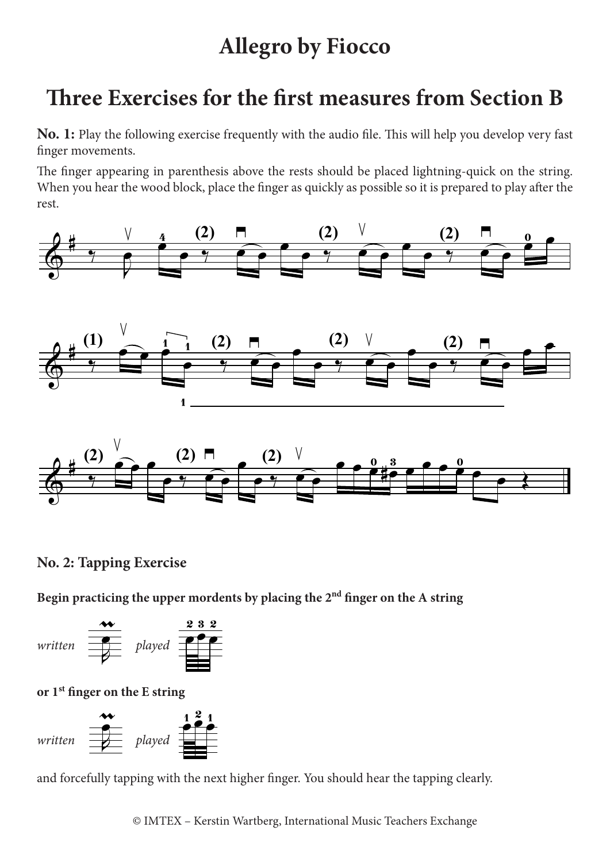## **Allegro by Fiocco**

## **Three Exercises for the first measures from Section B**

finger movements. **No. 1:** Play the following exercise frequently with the audio file. This will help you develop very fast

The finger appearing in parenthesis above the rests should be placed lightning-quick on the string. When you hear the wood block, place the finger as quickly as possible so it is prepared to play after the rest.



## **No. 2: Tapping Exercise**

Begin practicing the upper mordents by placing the 2<sup>nd</sup> finger on the A string **.** :ti n<br>Cti  $; t$ Begin practicing the upper mordents by placing the  $2<sup>nd</sup>$  finger o  $\mathbf{R}$ pi ä ıŗ n<br>m Ï e<sup>l</sup> la .<br>مار  $\mathfrak{t}$ ...<br>...



**or 1st finger on the E string** 



and forcefully tapping with the next higher finger. You should hear the tapping clearly.